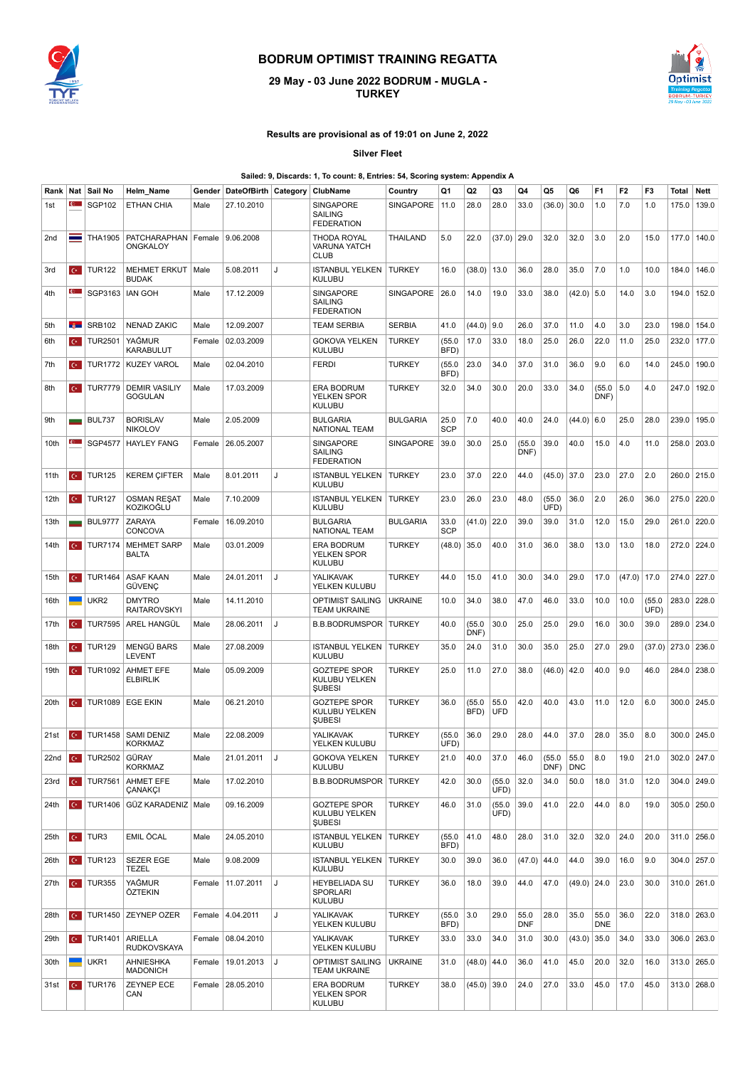

## **BODRUM OPTIMIST TRAINING REGATTA**

## **29 May - 03 June 2022 BODRUM -MUGLA - TURKEY**



## **Results are provisional as of 19:01 on June 2, 2022**

**Silver Fleet**

## **Sailed: 9, Discards: 1, To count: 8, Entries: 54, Scoring system: Appendix A**

| Rank | Nat            | Sail No                           | Helm_Name                              | Gender | DateOfBirth Category |   | ClubName                                                     | Country         | Q1                 | Q2             | Q3                 | Q4                 | Q5             | Q6            | F1                 | F <sub>2</sub> | F3             | Total       | <b>Nett</b> |
|------|----------------|-----------------------------------|----------------------------------------|--------|----------------------|---|--------------------------------------------------------------|-----------------|--------------------|----------------|--------------------|--------------------|----------------|---------------|--------------------|----------------|----------------|-------------|-------------|
| 1st  |                | <b>SGP102</b>                     | ETHAN CHIA                             | Male   | 27.10.2010           |   | <b>SINGAPORE</b><br><b>SAILING</b><br><b>FEDERATION</b>      | SINGAPORE       | 11.0               | 28.0           | 28.0               | 33.0               | (36.0)         | 30.0          | 1.0                | 7.0            | 1.0            | 175.0       | 139.0       |
| 2nd  | -              | <b>THA1905</b>                    | PATCHARAPHAN<br>ONGKALOY               | Female | 9.06.2008            |   | THODA ROYAL<br><b>VARUNA YATCH</b><br><b>CLUB</b>            | THAILAND        | 5.0                | 22.0           | (37.0)             | 29.0               | 32.0           | 32.0          | 3.0                | 2.0            | 15.0           | 177.0       | 140.0       |
| 3rd  | $\mathbf{C}^*$ | <b>TUR122</b>                     | <b>MEHMET ERKUT</b><br><b>BUDAK</b>    | Male   | 5.08.2011            | J | <b>ISTANBUL YELKEN</b><br><b>KULUBU</b>                      | <b>TURKEY</b>   | 16.0               | (38.0)         | 13.0               | 36.0               | 28.0           | 35.0          | 7.0                | 1.0            | 10.0           | 184.0       | 146.0       |
| 4th  |                | SGP3163                           | <b>IAN GOH</b>                         | Male   | 17.12.2009           |   | <b>SINGAPORE</b><br><b>SAILING</b><br><b>FEDERATION</b>      | SINGAPORE       | 26.0               | 14.0           | 19.0               | 33.0               | 38.0           | $(42.0)$ 5.0  |                    | 14.0           | 3.0            | 194.0       | 152.0       |
| 5th  | <b>Section</b> | <b>SRB102</b>                     | <b>NENAD ZAKIC</b>                     | Male   | 12.09.2007           |   | <b>TEAM SERBIA</b>                                           | <b>SERBIA</b>   | 41.0               | (44.0)         | 9.0                | 26.0               | 37.0           | 11.0          | 4.0                | 3.0            | 23.0           | 198.0       | 154.0       |
| 6th  | $\mathbf{C}^*$ | <b>TUR2501</b>                    | YAĞMUR<br>KARABULUT                    | Female | 02.03.2009           |   | <b>GOKOVA YELKEN</b><br><b>KULUBU</b>                        | <b>TURKEY</b>   | (55.0)<br>BFD)     | 17.0           | 33.0               | 18.0               | 25.0           | 26.0          | 22.0               | 11.0           | 25.0           | 232.0       | 177.0       |
| 7th  | $\mathbf{C}^*$ | <b>TUR1772</b>                    | <b>KUZEY VAROL</b>                     | Male   | 02.04.2010           |   | <b>FERDI</b>                                                 | <b>TURKEY</b>   | (55.0)<br>BFD)     | 23.0           | 34.0               | 37.0               | 31.0           | 36.0          | 9.0                | 6.0            | 14.0           | 245.0       | 190.0       |
| 8th  | $\mathbf{C}$   | <b>TUR7779</b>                    | <b>DEMIR VASILIY</b><br><b>GOGULAN</b> | Male   | 17.03.2009           |   | <b>ERA BODRUM</b><br>YELKEN SPOR<br><b>KULUBU</b>            | <b>TURKEY</b>   | 32.0               | 34.0           | 30.0               | 20.0               | 33.0           | 34.0          | (55.0<br>DNF)      | 5.0            | 4.0            | 247.0       | 192.0       |
| 9th  |                | <b>BUL737</b>                     | <b>BORISLAV</b><br><b>NIKOLOV</b>      | Male   | 2.05.2009            |   | <b>BULGARIA</b><br><b>NATIONAL TEAM</b>                      | BULGARIA        | 25.0<br><b>SCP</b> | 7.0            | 40.0               | 40.0               | 24.0           | (44.0)        | 6.0                | 25.0           | 28.0           | 239.0       | 195.0       |
| 10th | <b>C</b>       | <b>SGP4577</b>                    | <b>HAYLEY FANG</b>                     | Female | 26.05.2007           |   | <b>SINGAPORE</b><br><b>SAILING</b><br><b>FEDERATION</b>      | SINGAPORE       | 39.0               | 30.0           | 25.0               | (55.0)<br>DNF)     | 39.0           | 40.0          | 15.0               | 4.0            | 11.0           | 258.0       | 203.0       |
| 11th | $\mathbf{C}$   | <b>TUR125</b>                     | <b>KEREM ÇIFTER</b>                    | Male   | 8.01.2011            | J | <b>ISTANBUL YELKEN</b><br><b>KULUBU</b>                      | <b>TURKEY</b>   | 23.0               | 37.0           | 22.0               | 44.0               | $(45.0)$ 37.0  |               | 23.0               | 27.0           | 2.0            | 260.0       | 215.0       |
| 12th | $C^*$          | <b>TUR127</b>                     | <b>OSMAN RESAT</b><br>KOZIKOĞLU        | Male   | 7.10.2009            |   | <b>ISTANBUL YELKEN</b><br>KULUBU                             | <b>TURKEY</b>   | 23.0               | 26.0           | 23.0               | 48.0               | (55.0)<br>UFD) | 36.0          | 2.0                | 26.0           | 36.0           | 275.0 220.0 |             |
| 13th |                | <b>BUL9777</b>                    | ZARAYA<br>CONCOVA                      | Female | 16.09.2010           |   | <b>BULGARIA</b><br><b>NATIONAL TEAM</b>                      | <b>BULGARIA</b> | 33.0<br><b>SCP</b> | $(41.0)$ 22.0  |                    | 39.0               | 39.0           | 31.0          | 12.0               | 15.0           | 29.0           | 261.0       | 220.0       |
| 14th | $C^*$          | <b>TUR7174</b>                    | <b>MEHMET SARP</b><br><b>BALTA</b>     | Male   | 03.01.2009           |   | <b>ERA BODRUM</b><br>YELKEN SPOR<br><b>KULUBU</b>            | <b>TURKEY</b>   | (48.0)             | 35.0           | 40.0               | 31.0               | 36.0           | 38.0          | 13.0               | 13.0           | 18.0           | 272.0 224.0 |             |
| 15th | $\mathbf{C}^*$ | <b>TUR1464</b>                    | <b>ASAF KAAN</b><br>GÜVENÇ             | Male   | 24.01.2011           | J | <b>YALIKAVAK</b><br>YELKEN KULUBU                            | <b>TURKEY</b>   | 44.0               | 15.0           | 41.0               | 30.0               | 34.0           | 29.0          | 17.0               | (47.0)         | 17.0           | 274.0 227.0 |             |
| 16th |                | UKR <sub>2</sub>                  | <b>DMYTRO</b><br><b>RAITAROVSKYI</b>   | Male   | 14.11.2010           |   | <b>OPTIMIST SAILING</b><br><b>TEAM UKRAINE</b>               | <b>UKRAINE</b>  | 10.0               | 34.0           | 38.0               | 47.0               | 46.0           | 33.0          | 10.0               | 10.0           | (55.0)<br>UFD) | 283.0 228.0 |             |
| 17th | $C^*$          | <b>TUR7595</b>                    | AREL HANGÜL                            | Male   | 28.06.2011           | J | <b>B.B.BODRUMSPOR   TURKEY</b>                               |                 | 40.0               | (55.0)<br>DNF) | 30.0               | 25.0               | 25.0           | 29.0          | 16.0               | 30.0           | 39.0           | 289.0       | 234.0       |
| 18th | $\mathbf{C}^*$ | <b>TUR129</b>                     | MENGÜ BARS<br>LEVENT                   | Male   | 27.08.2009           |   | <b>ISTANBUL YELKEN</b><br><b>KULUBU</b>                      | <b>TURKEY</b>   | 35.0               | 24.0           | 31.0               | 30.0               | 35.0           | 25.0          | 27.0               | 29.0           | (37.0)         | 273.0       | 236.0       |
| 19th | $\mathbf{C}$   | <b>TUR1092</b>                    | <b>AHMET EFE</b><br><b>ELBIRLIK</b>    | Male   | 05.09.2009           |   | <b>GOZTEPE SPOR</b><br><b>KULUBU YELKEN</b><br><b>ŞUBESI</b> | TURKEY          | 25.0               | 11.0           | 27.0               | 38.0               | (46.0)         | 42.0          | 40.0               | 9.0            | 46.0           | 284.0       | 238.0       |
| 20th | $\mathbf{C}^*$ | <b>TUR1089</b>                    | <b>EGE EKIN</b>                        | Male   | 06.21.2010           |   | <b>GOZTEPE SPOR</b><br>KULUBU YELKEN<br><b>ŞUBESI</b>        | <b>TURKEY</b>   | 36.0               | (55.0)<br>BFD) | 55.0<br><b>UFD</b> | 42.0               | 40.0           | 43.0          | 11.0               | 12.0           | 6.0            | 300.0       | 245.0       |
| 21st | $C^*$          | <b>TUR1458</b>                    | <b>SAMI DENIZ</b><br><b>KORKMAZ</b>    | Male   | 22.08.2009           |   | YALIKAVAK<br>YELKEN KULUBU                                   | <b>TURKEY</b>   | (55.0)<br>UFD)     | 36.0           | 29.0               | 28.0               | 44.0           | 37.0          | 28.0               | 35.0           | 8.0            | 300.0       | 245.0       |
| 22nd |                |                                   | <b>KORKMAZ</b>                         | Male   | 21.01.2011           | J | GOKOVA YELKEN<br><b>KULUBU</b>                               | <b>TURKEY</b>   | 21.0               | 40.0           | 37.0               | 46.0               | (55.0)<br>DNF) | 55.0<br>DNC   | 8.0                | 19.0           | 21.0           |             | 302.0 247.0 |
| 23rd | $C^*$          | <b>TUR7561</b>                    | AHMET EFE<br>ÇANAKÇI                   | Male   | 17.02.2010           |   | <b>B.B.BODRUMSPOR   TURKEY</b>                               |                 | 42.0               | 30.0           | (55.0)<br>UFD)     | 32.0               | 34.0           | 50.0          | 18.0               | 31.0           | 12.0           | 304.0       | 249.0       |
| 24th | $C^*$          | <b>TUR1406</b>                    | GÜZ KARADENIZ   Male                   |        | 09.16.2009           |   | <b>GOZTEPE SPOR</b><br>KULUBU YELKEN<br><b>SUBESI</b>        | TURKEY          | 46.0               | 31.0           | (55.0)<br>UFD)     | 39.0               | 41.0           | 22.0          | 44.0               | 8.0            | 19.0           | 305.0 250.0 |             |
| 25th | $C^*$          | TUR3                              | EMIL ÖCAL                              | Male   | 24.05.2010           |   | <b>ISTANBUL YELKEN</b><br><b>KULUBU</b>                      | <b>TURKEY</b>   | (55.0<br>BFD)      | 41.0           | 48.0               | 28.0               | 31.0           | 32.0          | 32.0               | 24.0           | 20.0           | 311.0       | 256.0       |
| 26th | $C^*$          | <b>TUR123</b>                     | <b>SEZER EGE</b><br>TEZEL              | Male   | 9.08.2009            |   | <b>ISTANBUL YELKEN</b><br><b>KULUBU</b>                      | <b>TURKEY</b>   | 30.0               | 39.0           | 36.0               | (47.0)             | 44.0           | 44.0          | 39.0               | 16.0           | 9.0            | 304.0 257.0 |             |
| 27th |                | $\overline{C}$ TUR355             | YAĞMUR<br>ÖZTEKIN                      | Female | 11.07.2011           | J | <b>HEYBELIADA SU</b><br><b>SPORLARI</b><br><b>KULUBU</b>     | <b>TURKEY</b>   | 36.0               | 18.0           | 39.0               | 44.0               | 47.0           | (49.0)   24.0 |                    | 23.0           | 30.0           | 310.0 261.0 |             |
| 28th | $C^*$          | <b>TUR1450</b>                    | <b>ZEYNEP OZER</b>                     |        | Female   4.04.2011   | J | <b>YALIKAVAK</b><br>YELKEN KULUBU                            | <b>TURKEY</b>   | (55.0)<br>BFD)     | 3.0            | 29.0               | 55.0<br><b>DNF</b> | 28.0           | 35.0          | 55.0<br><b>DNE</b> | 36.0           | 22.0           | 318.0 263.0 |             |
| 29th |                | $\left  \text{C} \right $ TUR1401 | ARIELLA<br>RUDKOVSKAYA                 | Female | 08.04.2010           |   | YALIKAVAK<br>YELKEN KULUBU                                   | TURKEY          | 33.0               | 33.0           | 34.0               | 31.0               | 30.0           | (43.0)        | 35.0               | 34.0           | 33.0           |             | 306.0 263.0 |
| 30th |                | UKR1                              | AHNIESHKA<br><b>MADONICH</b>           | Female | 19.01.2013           | J | <b>OPTIMIST SAILING</b><br><b>TEAM UKRAINE</b>               | <b>UKRAINE</b>  | 31.0               | $(48.0)$ 44.0  |                    | 36.0               | 41.0           | 45.0          | 20.0               | 32.0           | 16.0           | 313.0 265.0 |             |
| 31st | $C^*$          | <b>TUR176</b>                     | <b>ZEYNEP ECE</b><br>CAN               |        | Female 28.05.2010    |   | <b>ERA BODRUM</b><br><b>YELKEN SPOR</b><br><b>KULUBU</b>     | <b>TURKEY</b>   | 38.0               | $(45.0)$ 39.0  |                    | 24.0               | 27.0           | 33.0          | 45.0               | 17.0           | 45.0           |             | 313.0 268.0 |